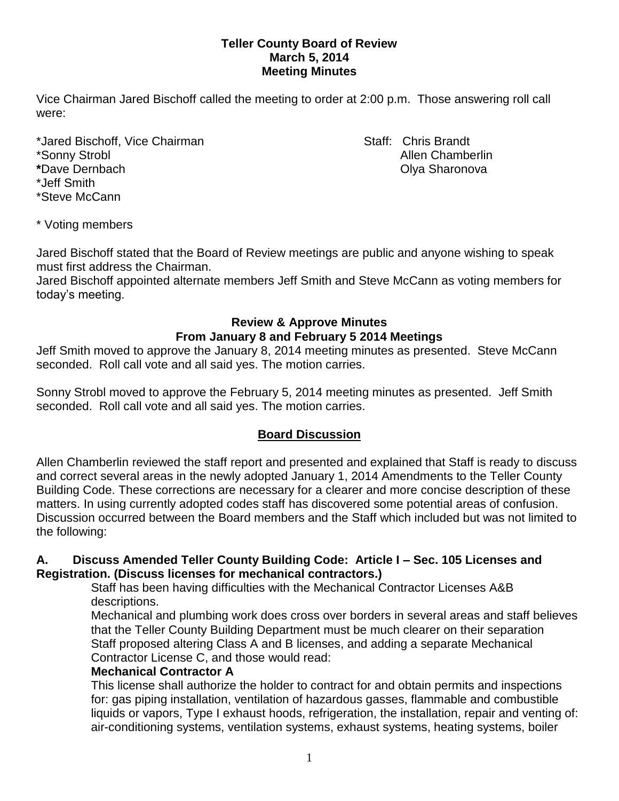### **Teller County Board of Review March 5, 2014 Meeting Minutes**

Vice Chairman Jared Bischoff called the meeting to order at 2:00 p.m. Those answering roll call were:

\*Jared Bischoff, Vice Chairman Staff: Chris Brandt \*Sonny Strobl Allen Chamberlin **\***Dave Dernbach Olya Sharonova \*Jeff Smith \*Steve McCann

\* Voting members

Jared Bischoff stated that the Board of Review meetings are public and anyone wishing to speak must first address the Chairman.

Jared Bischoff appointed alternate members Jeff Smith and Steve McCann as voting members for today's meeting.

### **Review & Approve Minutes From January 8 and February 5 2014 Meetings**

Jeff Smith moved to approve the January 8, 2014 meeting minutes as presented. Steve McCann seconded.Roll call vote and all said yes. The motion carries.

Sonny Strobl moved to approve the February 5, 2014 meeting minutes as presented. Jeff Smith seconded.Roll call vote and all said yes. The motion carries.

## **Board Discussion**

Allen Chamberlin reviewed the staff report and presented and explained that Staff is ready to discuss and correct several areas in the newly adopted January 1, 2014 Amendments to the Teller County Building Code. These corrections are necessary for a clearer and more concise description of these matters. In using currently adopted codes staff has discovered some potential areas of confusion. Discussion occurred between the Board members and the Staff which included but was not limited to the following:

### **A. Discuss Amended Teller County Building Code: Article I – Sec. 105 Licenses and Registration. (Discuss licenses for mechanical contractors.)**

Staff has been having difficulties with the Mechanical Contractor Licenses A&B descriptions.

Mechanical and plumbing work does cross over borders in several areas and staff believes that the Teller County Building Department must be much clearer on their separation Staff proposed altering Class A and B licenses, and adding a separate Mechanical Contractor License C, and those would read:

### **Mechanical Contractor A**

This license shall authorize the holder to contract for and obtain permits and inspections for: gas piping installation, ventilation of hazardous gasses, flammable and combustible liquids or vapors, Type I exhaust hoods, refrigeration, the installation, repair and venting of: air-conditioning systems, ventilation systems, exhaust systems, heating systems, boiler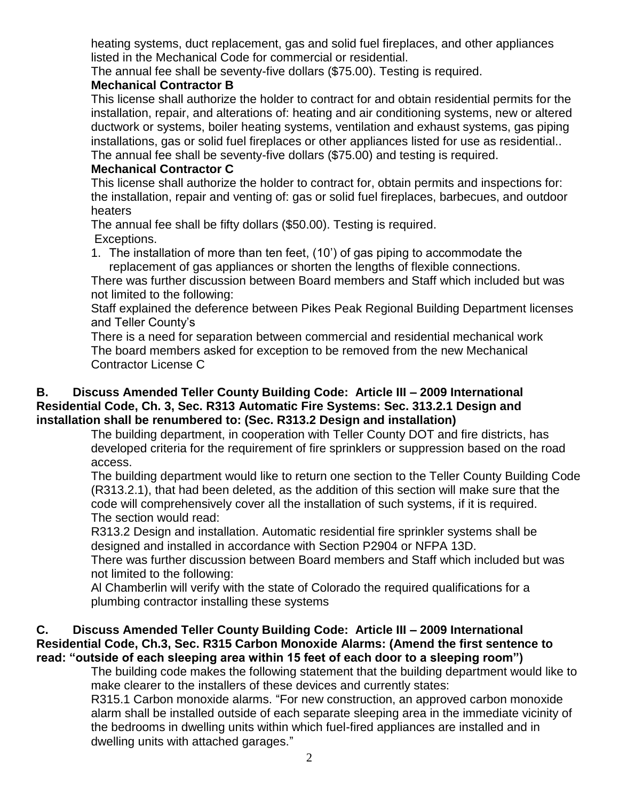heating systems, duct replacement, gas and solid fuel fireplaces, and other appliances listed in the Mechanical Code for commercial or residential.

The annual fee shall be seventy-five dollars (\$75.00). Testing is required.

## **Mechanical Contractor B**

This license shall authorize the holder to contract for and obtain residential permits for the installation, repair, and alterations of: heating and air conditioning systems, new or altered ductwork or systems, boiler heating systems, ventilation and exhaust systems, gas piping installations, gas or solid fuel fireplaces or other appliances listed for use as residential.. The annual fee shall be seventy-five dollars (\$75.00) and testing is required.

# **Mechanical Contractor C**

This license shall authorize the holder to contract for, obtain permits and inspections for: the installation, repair and venting of: gas or solid fuel fireplaces, barbecues, and outdoor heaters

The annual fee shall be fifty dollars (\$50.00). Testing is required. Exceptions.

1. The installation of more than ten feet, (10') of gas piping to accommodate the replacement of gas appliances or shorten the lengths of flexible connections.

There was further discussion between Board members and Staff which included but was not limited to the following:

Staff explained the deference between Pikes Peak Regional Building Department licenses and Teller County's

There is a need for separation between commercial and residential mechanical work The board members asked for exception to be removed from the new Mechanical Contractor License C

### **B. Discuss Amended Teller County Building Code: Article III – 2009 International Residential Code, Ch. 3, Sec. R313 Automatic Fire Systems: Sec. 313.2.1 Design and installation shall be renumbered to: (Sec. R313.2 Design and installation)**

The building department, in cooperation with Teller County DOT and fire districts, has developed criteria for the requirement of fire sprinklers or suppression based on the road access.

The building department would like to return one section to the Teller County Building Code (R313.2.1), that had been deleted, as the addition of this section will make sure that the code will comprehensively cover all the installation of such systems, if it is required. The section would read:

R313.2 Design and installation. Automatic residential fire sprinkler systems shall be designed and installed in accordance with Section P2904 or NFPA 13D.

There was further discussion between Board members and Staff which included but was not limited to the following:

Al Chamberlin will verify with the state of Colorado the required qualifications for a plumbing contractor installing these systems

### **C. Discuss Amended Teller County Building Code: Article III – 2009 International Residential Code, Ch.3, Sec. R315 Carbon Monoxide Alarms: (Amend the first sentence to read: "outside of each sleeping area within 15 feet of each door to a sleeping room")**

The building code makes the following statement that the building department would like to make clearer to the installers of these devices and currently states:

R315.1 Carbon monoxide alarms. "For new construction, an approved carbon monoxide alarm shall be installed outside of each separate sleeping area in the immediate vicinity of the bedrooms in dwelling units within which fuel-fired appliances are installed and in dwelling units with attached garages."